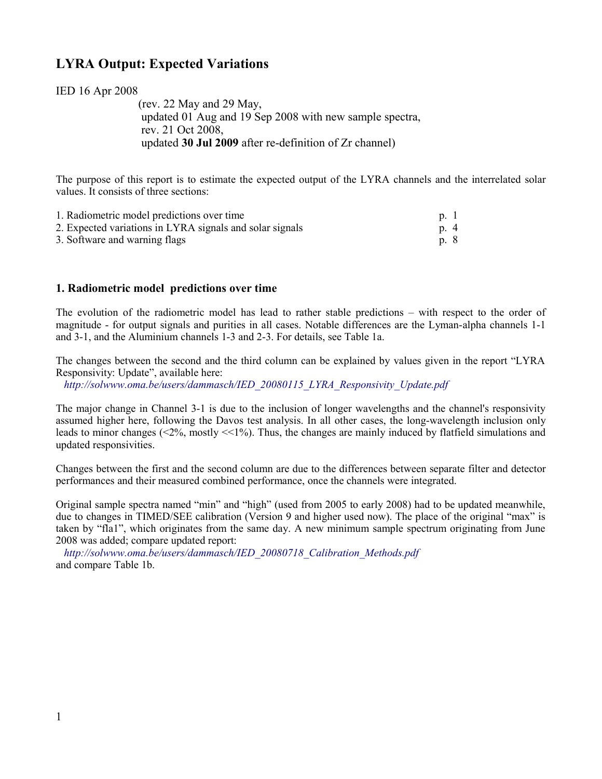# **LYRA Output: Expected Variations**

IED 16 Apr 2008

 (rev. 22 May and 29 May, updated 01 Aug and 19 Sep 2008 with new sample spectra, rev. 21 Oct 2008, updated **30 Jul 2009** after re-definition of Zr channel)

The purpose of this report is to estimate the expected output of the LYRA channels and the interrelated solar values. It consists of three sections:

| 1. Radiometric model predictions over time               | $p \ 1$ |
|----------------------------------------------------------|---------|
| 2. Expected variations in LYRA signals and solar signals | p. 4    |
| 3. Software and warning flags                            | p. 8    |

## **1. Radiometric model predictions over time**

The evolution of the radiometric model has lead to rather stable predictions – with respect to the order of magnitude - for output signals and purities in all cases. Notable differences are the Lyman-alpha channels 1-1 and 3-1, and the Aluminium channels 1-3 and 2-3. For details, see Table 1a.

The changes between the second and the third column can be explained by values given in the report "LYRA Responsivity: Update", available here:

 *[http://solwww.oma.be/users/dammasch/IED\\_20080115\\_LYRA\\_Responsivity\\_Update.pdf](http://solwww.oma.be/users/dammasch/IED_20080115_LYRA_Responsivity_Update.pdf)*

The major change in Channel 3-1 is due to the inclusion of longer wavelengths and the channel's responsivity assumed higher here, following the Davos test analysis. In all other cases, the long-wavelength inclusion only leads to minor changes (<2%, mostly <<1%). Thus, the changes are mainly induced by flatfield simulations and updated responsivities.

Changes between the first and the second column are due to the differences between separate filter and detector performances and their measured combined performance, once the channels were integrated.

Original sample spectra named "min" and "high" (used from 2005 to early 2008) had to be updated meanwhile, due to changes in TIMED/SEE calibration (Version 9 and higher used now). The place of the original "max" is taken by "fla1", which originates from the same day. A new minimum sample spectrum originating from June 2008 was added; compare updated report:

 *[http://solwww.oma.be/users/dammasch/IED\\_20080718\\_Calibration\\_Methods.pdf](http://solwww.oma.be/users/dammasch/IED_20080718_Calibration_Methods.pdf)* and compare Table 1b.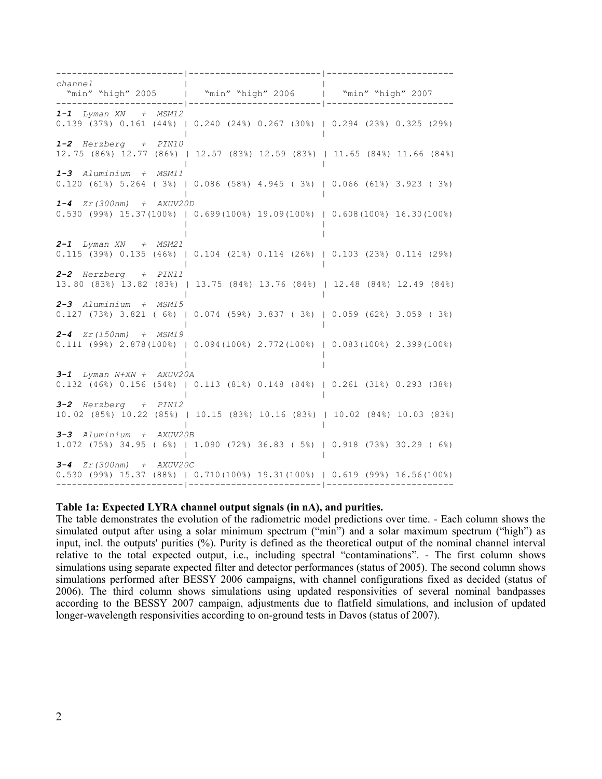------------------------|-------------------------|----------------------- *channel* | | "min" "high" 2005 | "min" "high" 2006 | "min" "high" 2007 ------------------------|-------------------------|------------------------ *1-1 Lyman XN + MSM12* 0.139 (37%) 0.161 (44%) | 0.240 (24%) 0.267 (30%) | 0.294 (23%) 0.325 (29%) | | *1-2 Herzberg + PIN10* 12. 75 (86%) 12.77 (86%) | 12.57 (83%) 12.59 (83%) | 11.65 (84%) 11.66 (84%) | | *1-3 Aluminium + MSM11* 0.120 (61%) 5.264 ( 3%) | 0.086 (58%) 4.945 ( 3%) | 0.066 (61%) 3.923 ( 3%) | | *1-4 Zr(300nm) + AXUV20D* 0.530 (99%) 15.37(100%) | 0.699(100%) 19.09(100%) | 0.608(100%) 16.30(100%) | | | | *2-1 Lyman XN + MSM21* 0.115 (39%) 0.135 (46%) | 0.104 (21%) 0.114 (26%) | 0.103 (23%) 0.114 (29%) | | *2-2 Herzberg + PIN11* 13. 80 (83%) 13.82 (83%) | 13.75 (84%) 13.76 (84%) | 12.48 (84%) 12.49 (84%) | | *2-3 Aluminium + MSM15* 0.127 (73%) 3.821 ( 6%) | 0.074 (59%) 3.837 ( 3%) | 0.059 (62%) 3.059 ( 3%) | | *2-4 Zr(150nm) + MSM19* 0.111 (99%) 2.878(100%) | 0.094(100%) 2.772(100%) | 0.083(100%) 2.399(100%) | | | | *3-1 Lyman N+XN + AXUV20A* 0.132 (46%) 0.156 (54%) | 0.113 (81%) 0.148 (84%) | 0.261 (31%) 0.293 (38%) | | *3-2 Herzberg + PIN12* 10. 02 (85%) 10.22 (85%) | 10.15 (83%) 10.16 (83%) | 10.02 (84%) 10.03 (83%) | | *3-3 Aluminium + AXUV20B* 1.072 (75%) 34.95 ( 6%) | 1.090 (72%) 36.83 ( 5%) | 0.918 (73%) 30.29 ( 6%) | | *3-4 Zr(300nm) + AXUV20C* 0.530 (99%) 15.37 (88%) | 0.710(100%) 19.31(100%) | 0.619 (99%) 16.56(100%) ------------------------|-------------------------|------------------------

#### **Table 1a: Expected LYRA channel output signals (in nA), and purities.**

The table demonstrates the evolution of the radiometric model predictions over time. - Each column shows the simulated output after using a solar minimum spectrum ("min") and a solar maximum spectrum ("high") as input, incl. the outputs' purities (%). Purity is defined as the theoretical output of the nominal channel interval relative to the total expected output, i.e., including spectral "contaminations". - The first column shows simulations using separate expected filter and detector performances (status of 2005). The second column shows simulations performed after BESSY 2006 campaigns, with channel configurations fixed as decided (status of 2006). The third column shows simulations using updated responsivities of several nominal bandpasses according to the BESSY 2007 campaign, adjustments due to flatfield simulations, and inclusion of updated longer-wavelength responsivities according to on-ground tests in Davos (status of 2007).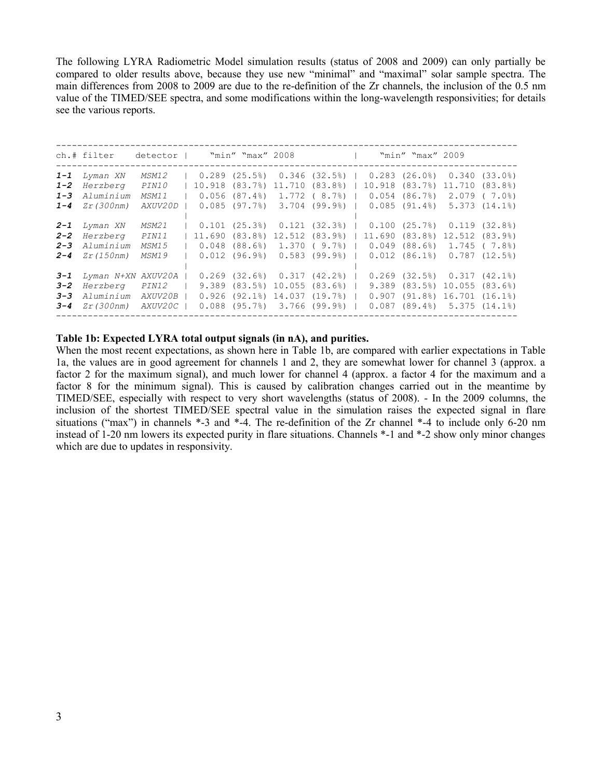The following LYRA Radiometric Model simulation results (status of 2008 and 2009) can only partially be compared to older results above, because they use new "minimal" and "maximal" solar sample spectra. The main differences from 2008 to 2009 are due to the re-definition of the Zr channels, the inclusion of the 0.5 nm value of the TIMED/SEE spectra, and some modifications within the long-wavelength responsivities; for details see the various reports.

|                                          | ch.# filter                                                     | detector l                                       |  | "min" "max" 2008 l                                                                                                                                 |  |  | "min" "max" 2009                                                                                                                          |                                     |
|------------------------------------------|-----------------------------------------------------------------|--------------------------------------------------|--|----------------------------------------------------------------------------------------------------------------------------------------------------|--|--|-------------------------------------------------------------------------------------------------------------------------------------------|-------------------------------------|
| $1 - 1$<br>$1 - 2$<br>$1 - 3$<br>$1 - 4$ | Lyman XN<br>Herzberg<br>Aluminium<br><i>Zr(300nm)</i>           | MSM12<br><i>PIN10</i><br>MSM11<br><i>AXUV20D</i> |  | $0.289$ (25.5%) $0.346$ (32.5%)  <br>10.918 (83.7%) 11.710 (83.8%)  <br>$0.056$ $(87.4\%)$ 1.772 $(8.7\%)$<br>$0.085$ (97.7%) 3.704 (99.9%)        |  |  | $0.283$ $(26.0\%)$ $0.340$ $(33.0\%)$<br>10.918 (83.7%) 11.710 (83.8%)<br>$0.054$ $(86.7)$ 2.079 (7.0)<br>$0.085$ (91.4%) $5.373$ (14.1%) |                                     |
| $2 - 1$<br>$2 - 2$<br>$2 - 3$<br>$2 - 4$ | Lyman XN<br>Herzberg<br>Aluminium<br><i>Zr</i> (150nm)          | MSM21<br><i>PIN11</i><br>MSM15<br><b>MSM19</b>   |  | $0.101$ (25.3%) $0.121$ (32.3%)  <br>11.690 (83.8%) 12.512 (83.9%)  <br>$0.048$ (88.6%) 1.370 (9.7%)  <br>$0.012$ (96.9%) $0.583$ (99.9%)          |  |  | $0.100$ $(25.7%)$ $0.119$ $(32.8%)$<br>11.690(83.8)<br>$0.049$ $(88.6%)$ 1.745 $(7.8%)$<br>$0.012$ $(86.1)$                               | 12.512 (83.9%)<br>$0.787$ $(12.5%)$ |
| $3 - 1$<br>$3 - 2$<br>$3 - 3$<br>$3 - 4$ | Lyman N+XN AXUV20A<br>Herzberg<br>Aluminium<br><i>Zr(300nm)</i> | <i>PIN12</i><br>AXUV20B<br><i>AXUV20C</i>        |  | $0.269$ $(32.6%)$ $0.317$ $(42.2%)$<br>$9.389$ $(83.5%)$ $10.055$ $(83.6%)$  <br>$0.926$ (92.1%) 14.037 (19.7%)  <br>$0.088$ (95.7%) 3.766 (99.9%) |  |  | $0.269$ $(32.5%)$ $0.317$ $(42.1%)$<br>9.389 (83.5%) 10.055 (83.6%)<br>$0.907$ (91.8%) 16.701 (16.1%)<br>$0.087$ (89.4%) 5.375 (14.1%)    |                                     |
|                                          |                                                                 |                                                  |  |                                                                                                                                                    |  |  |                                                                                                                                           |                                     |

### **Table 1b: Expected LYRA total output signals (in nA), and purities.**

When the most recent expectations, as shown here in Table 1b, are compared with earlier expectations in Table 1a, the values are in good agreement for channels 1 and 2, they are somewhat lower for channel 3 (approx. a factor 2 for the maximum signal), and much lower for channel 4 (approx. a factor 4 for the maximum and a factor 8 for the minimum signal). This is caused by calibration changes carried out in the meantime by TIMED/SEE, especially with respect to very short wavelengths (status of 2008). - In the 2009 columns, the inclusion of the shortest TIMED/SEE spectral value in the simulation raises the expected signal in flare situations ("max") in channels \*-3 and \*-4. The re-definition of the Zr channel \*-4 to include only 6-20 nm instead of 1-20 nm lowers its expected purity in flare situations. Channels \*-1 and \*-2 show only minor changes which are due to updates in responsivity.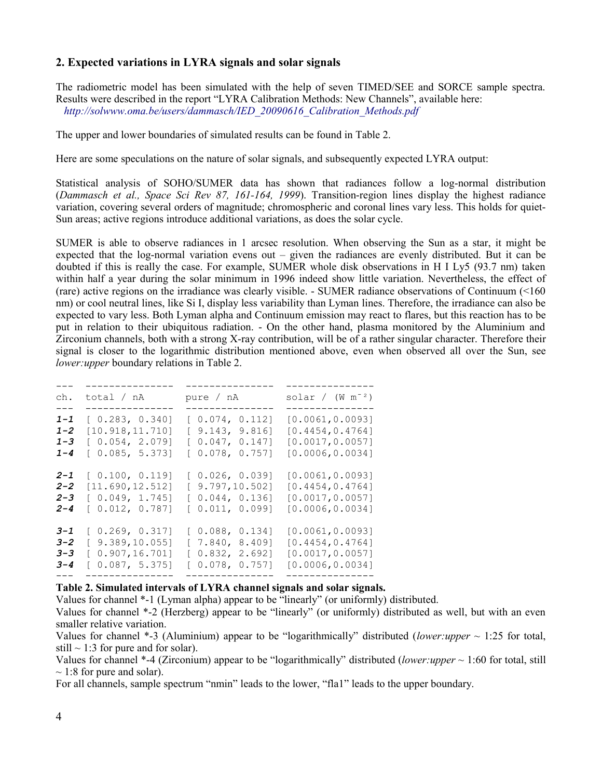# **2. Expected variations in LYRA signals and solar signals**

The radiometric model has been simulated with the help of seven TIMED/SEE and SORCE sample spectra. Results were described in the report "LYRA Calibration Methods: New Channels", available here:  *[http://solwww.oma.be/users/dammasch/IED\\_20090616\\_Calibration\\_Methods.pdf](http://solwww.oma.be/users/dammasch/IED_20090616_Calibration_Methods.pdf)*

The upper and lower boundaries of simulated results can be found in Table 2.

Here are some speculations on the nature of solar signals, and subsequently expected LYRA output:

Statistical analysis of SOHO/SUMER data has shown that radiances follow a log-normal distribution (*Dammasch et al., Space Sci Rev 87, 161-164, 1999*). Transition-region lines display the highest radiance variation, covering several orders of magnitude; chromospheric and coronal lines vary less. This holds for quiet-Sun areas; active regions introduce additional variations, as does the solar cycle.

SUMER is able to observe radiances in 1 arcsec resolution. When observing the Sun as a star, it might be expected that the log-normal variation evens out – given the radiances are evenly distributed. But it can be doubted if this is really the case. For example, SUMER whole disk observations in H I Ly5 (93.7 nm) taken within half a year during the solar minimum in 1996 indeed show little variation. Nevertheless, the effect of (rare) active regions on the irradiance was clearly visible. - SUMER radiance observations of Continuum (<160 nm) or cool neutral lines, like Si I, display less variability than Lyman lines. Therefore, the irradiance can also be expected to vary less. Both Lyman alpha and Continuum emission may react to flares, but this reaction has to be put in relation to their ubiquitous radiation. - On the other hand, plasma monitored by the Aluminium and Zirconium channels, both with a strong X-ray contribution, will be of a rather singular character. Therefore their signal is closer to the logarithmic distribution mentioned above, even when observed all over the Sun, see *lower:upper* boundary relations in Table 2.

| ch.     | total / nA<br>. _ _ _ _ _ _ _ _ _ _ | pure / nA       | solar / $(W m-2)$<br>. _ _ _ _ _ _ _ _ _ _ _ _ _ _ |
|---------|-------------------------------------|-----------------|----------------------------------------------------|
| $1 - 1$ | [0.283, 0.340]                      | [0.074, 0.112]  | [0.0061, 0.0093]                                   |
| $1 - 2$ | [10.918, 11.710]                    | [9.143, 9.816]  | [0.4454, 0.4764]                                   |
| $1 - 3$ | [0.054, 2.079]                      | [0.047, 0.147]  | [0.0017, 0.0057]                                   |
| $1 - 4$ | [0.085, 5.373]                      | [0.078, 0.757]  | [0.0006, 0.0034]                                   |
| $2 - 1$ | [0.100, 0.119]                      | [0.026, 0.039]  | [0.0061, 0.0093]                                   |
| $2 - 2$ | [11.690, 12.512]                    | [9.797, 10.502] | [0.4454, 0.4764]                                   |
| $2 - 3$ | [0.049, 1.745]                      | [0.044, 0.136]  | [0.0017, 0.0057]                                   |
| $2 - 4$ | [0.012, 0.787]                      | [ 0.011, 0.099] | [0.0006, 0.0034]                                   |
| $3 - 1$ | [0.269, 0.317]                      | [0.088, 0.134]  | [0.0061, 0.0093]                                   |
| $3 - 2$ | [9.389, 10.055]                     | [7.840, 8.409]  | [0.4454, 0.4764]                                   |
| $3 - 3$ | [0.907, 16.701]                     | [0.832, 2.692]  | [0.0017, 0.0057]                                   |
| $3 - 4$ | [0.087, 5.375]                      | [0.078, 0.757]  | [0.0006, 0.0034]                                   |

#### **Table 2. Simulated intervals of LYRA channel signals and solar signals.**

Values for channel \*-1 (Lyman alpha) appear to be "linearly" (or uniformly) distributed.

Values for channel \*-2 (Herzberg) appear to be "linearly" (or uniformly) distributed as well, but with an even smaller relative variation.

Values for channel  $*$ -3 (Aluminium) appear to be "logarithmically" distributed (*lower:upper*  $\sim$  1:25 for total, still  $\sim$  1:3 for pure and for solar).

Values for channel \*-4 (Zirconium) appear to be "logarithmically" distributed (*lower:upper* ~ 1:60 for total, still  $\sim$  1:8 for pure and solar).

For all channels, sample spectrum "nmin" leads to the lower, "fla1" leads to the upper boundary.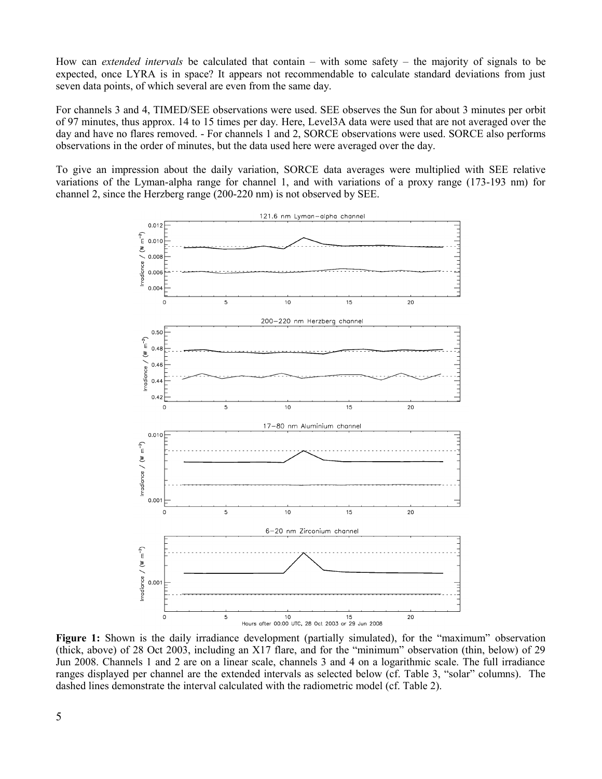How can *extended intervals* be calculated that contain – with some safety – the majority of signals to be expected, once LYRA is in space? It appears not recommendable to calculate standard deviations from just seven data points, of which several are even from the same day.

For channels 3 and 4, TIMED/SEE observations were used. SEE observes the Sun for about 3 minutes per orbit of 97 minutes, thus approx. 14 to 15 times per day. Here, Level3A data were used that are not averaged over the day and have no flares removed. - For channels 1 and 2, SORCE observations were used. SORCE also performs observations in the order of minutes, but the data used here were averaged over the day.

To give an impression about the daily variation, SORCE data averages were multiplied with SEE relative variations of the Lyman-alpha range for channel 1, and with variations of a proxy range (173-193 nm) for channel 2, since the Herzberg range (200-220 nm) is not observed by SEE.



**Figure 1:** Shown is the daily irradiance development (partially simulated), for the "maximum" observation (thick, above) of 28 Oct 2003, including an X17 flare, and for the "minimum" observation (thin, below) of 29 Jun 2008. Channels 1 and 2 are on a linear scale, channels 3 and 4 on a logarithmic scale. The full irradiance ranges displayed per channel are the extended intervals as selected below (cf. Table 3, "solar" columns). The dashed lines demonstrate the interval calculated with the radiometric model (cf. Table 2).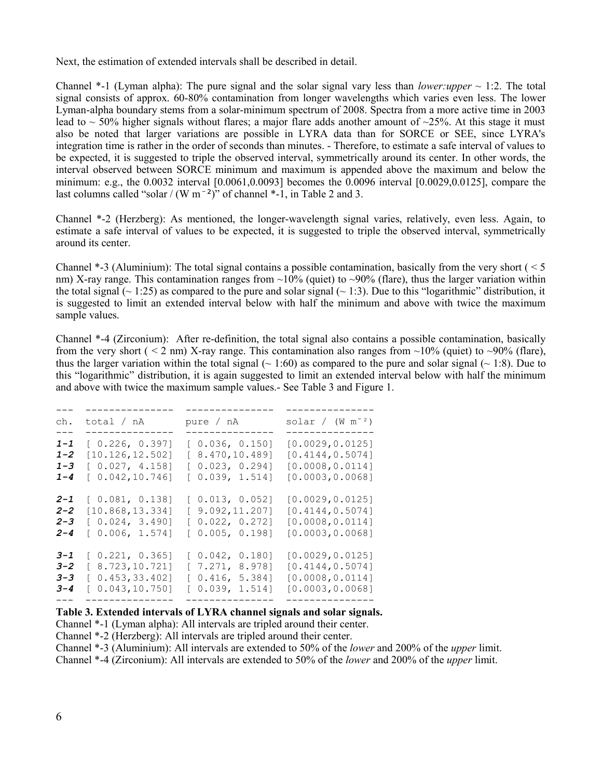Next, the estimation of extended intervals shall be described in detail.

Channel  $*$ -1 (Lyman alpha): The pure signal and the solar signal vary less than *lower:upper*  $\sim$  1:2. The total signal consists of approx. 60-80% contamination from longer wavelengths which varies even less. The lower Lyman-alpha boundary stems from a solar-minimum spectrum of 2008. Spectra from a more active time in 2003 lead to  $\sim$  50% higher signals without flares; a major flare adds another amount of  $\sim$ 25%. At this stage it must also be noted that larger variations are possible in LYRA data than for SORCE or SEE, since LYRA's integration time is rather in the order of seconds than minutes. - Therefore, to estimate a safe interval of values to be expected, it is suggested to triple the observed interval, symmetrically around its center. In other words, the interval observed between SORCE minimum and maximum is appended above the maximum and below the minimum: e.g., the 0.0032 interval [0.0061,0.0093] becomes the 0.0096 interval [0.0029,0.0125], compare the last columns called "solar / (W  $m^{-2}$ )" of channel  $*$ -1, in Table 2 and 3.

Channel \*-2 (Herzberg): As mentioned, the longer-wavelength signal varies, relatively, even less. Again, to estimate a safe interval of values to be expected, it is suggested to triple the observed interval, symmetrically around its center.

Channel  $*$ -3 (Aluminium): The total signal contains a possible contamination, basically from the very short (  $\leq$  5) nm) X-ray range. This contamination ranges from  $\sim$ 10% (quiet) to  $\sim$ 90% (flare), thus the larger variation within the total signal ( $\sim$  1:25) as compared to the pure and solar signal ( $\sim$  1:3). Due to this "logarithmic" distribution, it is suggested to limit an extended interval below with half the minimum and above with twice the maximum sample values.

Channel \*-4 (Zirconium): After re-definition, the total signal also contains a possible contamination, basically from the very short (  $\leq$  2 nm) X-ray range. This contamination also ranges from  $\sim$ 10% (quiet) to  $\sim$ 90% (flare), thus the larger variation within the total signal ( $\sim 1:60$ ) as compared to the pure and solar signal ( $\sim 1:8$ ). Due to this "logarithmic" distribution, it is again suggested to limit an extended interval below with half the minimum and above with twice the maximum sample values.- See Table 3 and Figure 1.

| ch.                                                 | total / nA                                                                                       | pure / nA                                                              | solar / $(W m-2)$                                                                              |
|-----------------------------------------------------|--------------------------------------------------------------------------------------------------|------------------------------------------------------------------------|------------------------------------------------------------------------------------------------|
| $- - -$<br>$1 - 1$<br>$1 - 2$<br>$1 - 3$<br>$1 - 4$ | . _ _ _ _ _ _ _ _ _ _<br>[0.226, 0.397]<br>[10.126, 12.502]<br>[0.027, 4.158]<br>[0.042, 10.746] | [0.036, 0.150]<br>[ 8.470, 10.489]<br>[0.023, 0.294]<br>[0.039, 1.514] | ______________<br>[0.0029, 0.0125]<br>[0.4144, 0.5074]<br>[0.0008, 0.0114]<br>[0.0003, 0.0068] |
| $2 - 1$<br>$2 - 2$<br>$2 - 3$<br>$2 - 4$            | [0.081, 0.138]<br>[10.868, 13.334]<br>[0.024, 3.490]<br>[0.006, 1.574]                           | [0.013, 0.052]<br>[9.092, 11.207]<br>[0.022, 0.272]<br>[0.005, 0.198]  | [0.0029, 0.0125]<br>[0.4144, 0.5074]<br>[0.0008, 0.0114]<br>[0.0003, 0.0068]                   |
| $3 - 1$<br>$3 - 2$<br>$3 - 3$<br>$3 - 4$            | [0.221, 0.365]<br>[8.723, 10.721]<br>[0.453, 33.402]<br>[0.043, 10.750]                          | [0.042, 0.180]<br>[7.271, 8.978]<br>[0.416, 5.384]<br>[0.039, 1.514]   | [0.0029, 0.0125]<br>[0.4144, 0.5074]<br>[0.0008, 0.0114]<br>[0.0003, 0.0068]                   |

#### **Table 3. Extended intervals of LYRA channel signals and solar signals.**

Channel \*-1 (Lyman alpha): All intervals are tripled around their center.

Channel \*-2 (Herzberg): All intervals are tripled around their center.

Channel \*-3 (Aluminium): All intervals are extended to 50% of the *lower* and 200% of the *upper* limit.

Channel \*-4 (Zirconium): All intervals are extended to 50% of the *lower* and 200% of the *upper* limit.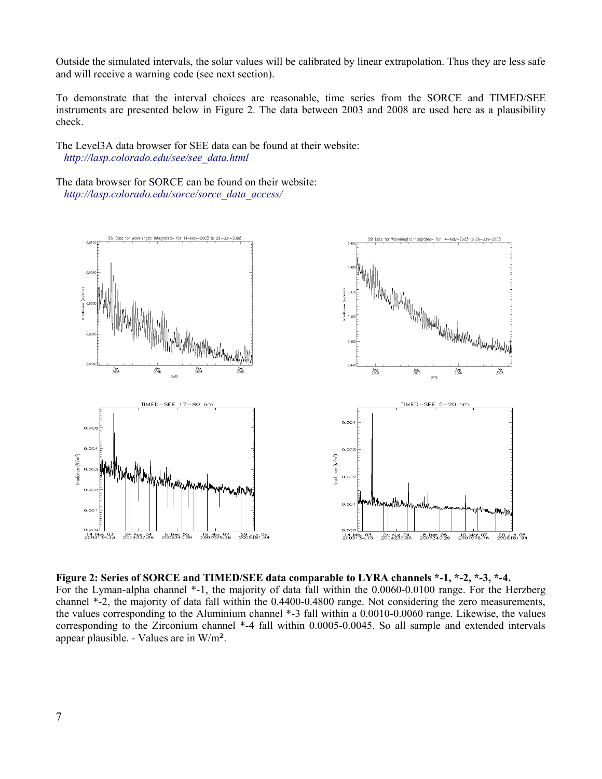Outside the simulated intervals, the solar values will be calibrated by linear extrapolation. Thus they are less safe and will receive a warning code (see next section).

To demonstrate that the interval choices are reasonable, time series from the SORCE and TIMED/SEE instruments are presented below in Figure 2. The data between 2003 and 2008 are used here as a plausibility check.

The Level3A data browser for SEE data can be found at their website:  *[http://lasp.colorado.edu/see/see\\_data.html](http://lasp.colorado.edu/see/see_data.html)*

The data browser for SORCE can be found on their website: *[http://lasp.colorado.edu/sorce/sorce\\_data\\_access/](http://lasp.colorado.edu/sorce/sorce_data_access/)*



**Figure 2: Series of SORCE and TIMED/SEE data comparable to LYRA channels \*-1, \*-2, \*-3, \*-4.** For the Lyman-alpha channel \*-1, the majority of data fall within the 0.0060-0.0100 range. For the Herzberg channel \*-2, the majority of data fall within the 0.4400-0.4800 range. Not considering the zero measurements, the values corresponding to the Aluminium channel \*-3 fall within a 0.0010-0.0060 range. Likewise, the values corresponding to the Zirconium channel \*-4 fall within 0.0005-0.0045. So all sample and extended intervals appear plausible. - Values are in W/m².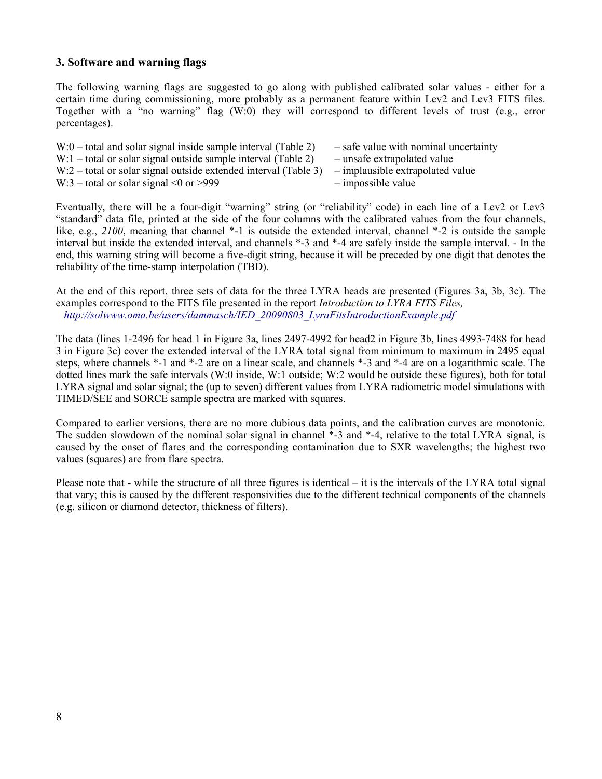# **3. Software and warning flags**

The following warning flags are suggested to go along with published calibrated solar values - either for a certain time during commissioning, more probably as a permanent feature within Lev2 and Lev3 FITS files. Together with a "no warning" flag (W:0) they will correspond to different levels of trust (e.g., error percentages).

| $W:0$ – total and solar signal inside sample interval (Table 2)   | - safe value with nominal uncertainty |
|-------------------------------------------------------------------|---------------------------------------|
| $W:1$ – total or solar signal outside sample interval (Table 2)   | - unsafe extrapolated value           |
| $W:2$ – total or solar signal outside extended interval (Table 3) | - implausible extrapolated value      |
| W:3 – total or solar signal $\leq 0$ or $>999$                    | $-$ impossible value                  |

Eventually, there will be a four-digit "warning" string (or "reliability" code) in each line of a Lev2 or Lev3 "standard" data file, printed at the side of the four columns with the calibrated values from the four channels, like, e.g., *2100*, meaning that channel \*-1 is outside the extended interval, channel \*-2 is outside the sample interval but inside the extended interval, and channels \*-3 and \*-4 are safely inside the sample interval. - In the end, this warning string will become a five-digit string, because it will be preceded by one digit that denotes the reliability of the time-stamp interpolation (TBD).

At the end of this report, three sets of data for the three LYRA heads are presented (Figures 3a, 3b, 3c). The examples correspond to the FITS file presented in the report *Introduction to LYRA FITS Files, [http://solwww.oma.be/users/dammasch/IED\\_20090803\\_LyraFitsIntroductionExample.pdf](http://solwww.oma.be/users/dammasch/IED_20090803_LyraFitsIntroductionExample.pdf)*

The data (lines 1-2496 for head 1 in Figure 3a, lines 2497-4992 for head2 in Figure 3b, lines 4993-7488 for head 3 in Figure 3c) cover the extended interval of the LYRA total signal from minimum to maximum in 2495 equal steps, where channels \*-1 and \*-2 are on a linear scale, and channels \*-3 and \*-4 are on a logarithmic scale. The dotted lines mark the safe intervals (W:0 inside, W:1 outside; W:2 would be outside these figures), both for total LYRA signal and solar signal; the (up to seven) different values from LYRA radiometric model simulations with TIMED/SEE and SORCE sample spectra are marked with squares.

Compared to earlier versions, there are no more dubious data points, and the calibration curves are monotonic. The sudden slowdown of the nominal solar signal in channel \*-3 and \*-4, relative to the total LYRA signal, is caused by the onset of flares and the corresponding contamination due to SXR wavelengths; the highest two values (squares) are from flare spectra.

Please note that - while the structure of all three figures is identical – it is the intervals of the LYRA total signal that vary; this is caused by the different responsivities due to the different technical components of the channels (e.g. silicon or diamond detector, thickness of filters).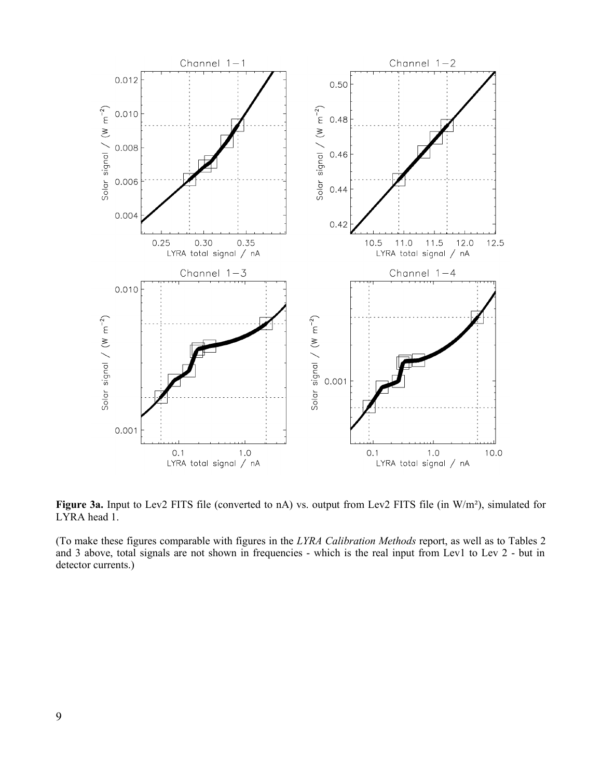

Figure 3a. Input to Lev2 FITS file (converted to nA) vs. output from Lev2 FITS file (in W/m<sup>2</sup>), simulated for LYRA head 1.

(To make these figures comparable with figures in the *LYRA Calibration Methods* report, as well as to Tables 2 and 3 above, total signals are not shown in frequencies - which is the real input from Lev1 to Lev 2 - but in detector currents.)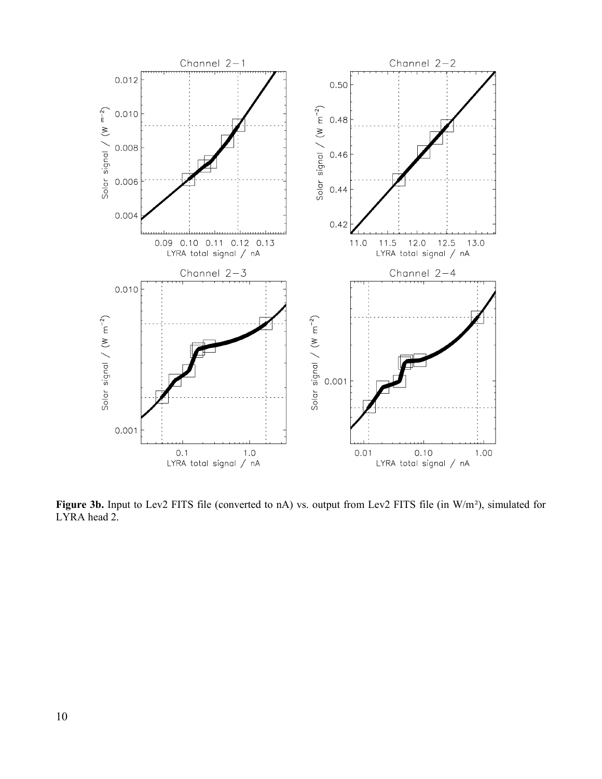

Figure 3b. Input to Lev2 FITS file (converted to nA) vs. output from Lev2 FITS file (in W/m<sup>2</sup>), simulated for LYRA head 2.